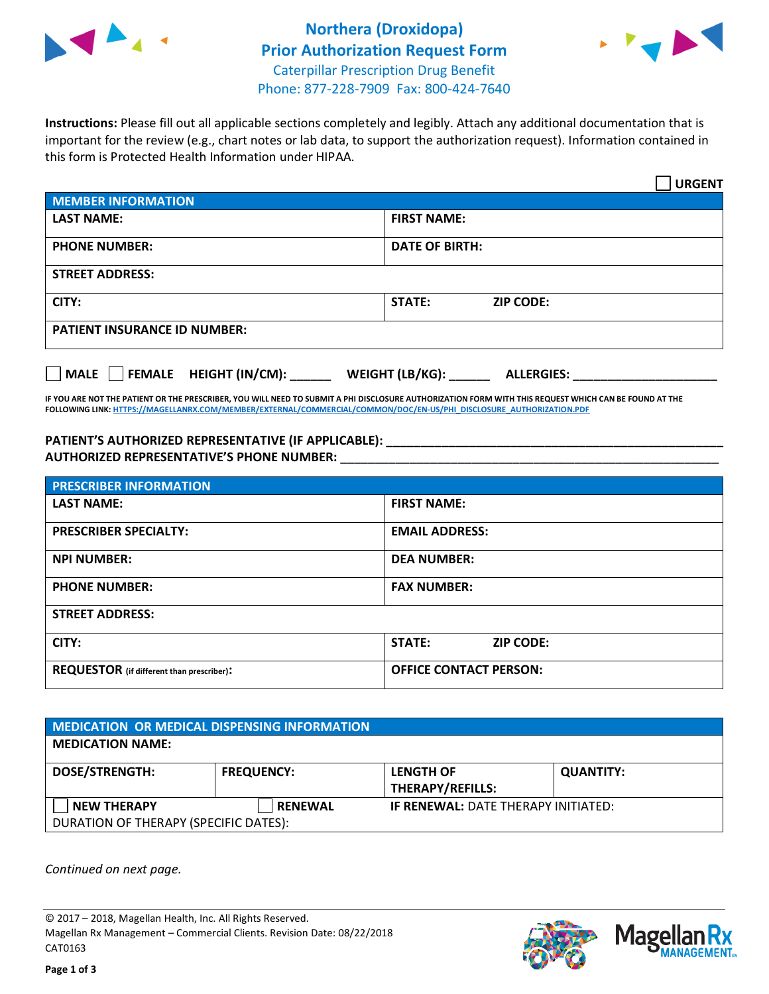



**Instructions:** Please fill out all applicable sections completely and legibly. Attach any additional documentation that is important for the review (e.g., chart notes or lab data, to support the authorization request). Information contained in this form is Protected Health Information under HIPAA.

|                                     |                                      | <b>URGENT</b> |
|-------------------------------------|--------------------------------------|---------------|
| <b>MEMBER INFORMATION</b>           |                                      |               |
| <b>LAST NAME:</b>                   | <b>FIRST NAME:</b>                   |               |
| <b>PHONE NUMBER:</b>                | <b>DATE OF BIRTH:</b>                |               |
| <b>STREET ADDRESS:</b>              |                                      |               |
| CITY:                               | <b>STATE:</b><br><b>ZIP CODE:</b>    |               |
| <b>PATIENT INSURANCE ID NUMBER:</b> |                                      |               |
| MALE FEMALE HEIGHT (IN/CM):         | WEIGHT (LB/KG):<br><b>ALLERGIES:</b> |               |

**IF YOU ARE NOT THE PATIENT OR THE PRESCRIBER, YOU WILL NEED TO SUBMIT A PHI DISCLOSURE AUTHORIZATION FORM WITH THIS REQUEST WHICH CAN BE FOUND AT THE FOLLOWING LINK[: HTTPS://MAGELLANRX.COM/MEMBER/EXTERNAL/COMMERCIAL/COMMON/DOC/EN-US/PHI\\_DISCLOSURE\\_AUTHORIZATION.PDF](https://magellanrx.com/member/external/commercial/common/doc/en-us/PHI_Disclosure_Authorization.pdf)**

**PATIENT'S AUTHORIZED REPRESENTATIVE (IF APPLICABLE): \_\_\_\_\_\_\_\_\_\_\_\_\_\_\_\_\_\_\_\_\_\_\_\_\_\_\_\_\_\_\_\_\_\_\_\_\_\_\_\_\_\_\_\_\_\_\_\_\_ AUTHORIZED REPRESENTATIVE'S PHONE NUMBER:** \_\_\_\_\_\_\_\_\_\_\_\_\_\_\_\_\_\_\_\_\_\_\_\_\_\_\_\_\_\_\_\_\_\_\_\_\_\_\_\_\_\_\_\_\_\_\_\_\_\_\_\_\_\_\_

| <b>PRESCRIBER INFORMATION</b>             |                               |  |  |  |
|-------------------------------------------|-------------------------------|--|--|--|
| <b>LAST NAME:</b>                         | <b>FIRST NAME:</b>            |  |  |  |
| <b>PRESCRIBER SPECIALTY:</b>              | <b>EMAIL ADDRESS:</b>         |  |  |  |
| <b>NPI NUMBER:</b>                        | <b>DEA NUMBER:</b>            |  |  |  |
| <b>PHONE NUMBER:</b>                      | <b>FAX NUMBER:</b>            |  |  |  |
| <b>STREET ADDRESS:</b>                    |                               |  |  |  |
| CITY:                                     | STATE:<br><b>ZIP CODE:</b>    |  |  |  |
| REQUESTOR (if different than prescriber): | <b>OFFICE CONTACT PERSON:</b> |  |  |  |

| <b>MEDICATION OR MEDICAL DISPENSING INFORMATION</b> |                   |                                            |                  |  |  |
|-----------------------------------------------------|-------------------|--------------------------------------------|------------------|--|--|
| <b>MEDICATION NAME:</b>                             |                   |                                            |                  |  |  |
| <b>DOSE/STRENGTH:</b>                               | <b>FREQUENCY:</b> | <b>LENGTH OF</b>                           | <b>QUANTITY:</b> |  |  |
|                                                     |                   | <b>THERAPY/REFILLS:</b>                    |                  |  |  |
| <b>NEW THERAPY</b>                                  | <b>RENEWAL</b>    | <b>IF RENEWAL: DATE THERAPY INITIATED:</b> |                  |  |  |
| DURATION OF THERAPY (SPECIFIC DATES):               |                   |                                            |                  |  |  |

*Continued on next page.*

© 2017 – 2018, Magellan Health, Inc. All Rights Reserved. Magellan Rx Management – Commercial Clients. Revision Date: 08/22/2018 CAT0163



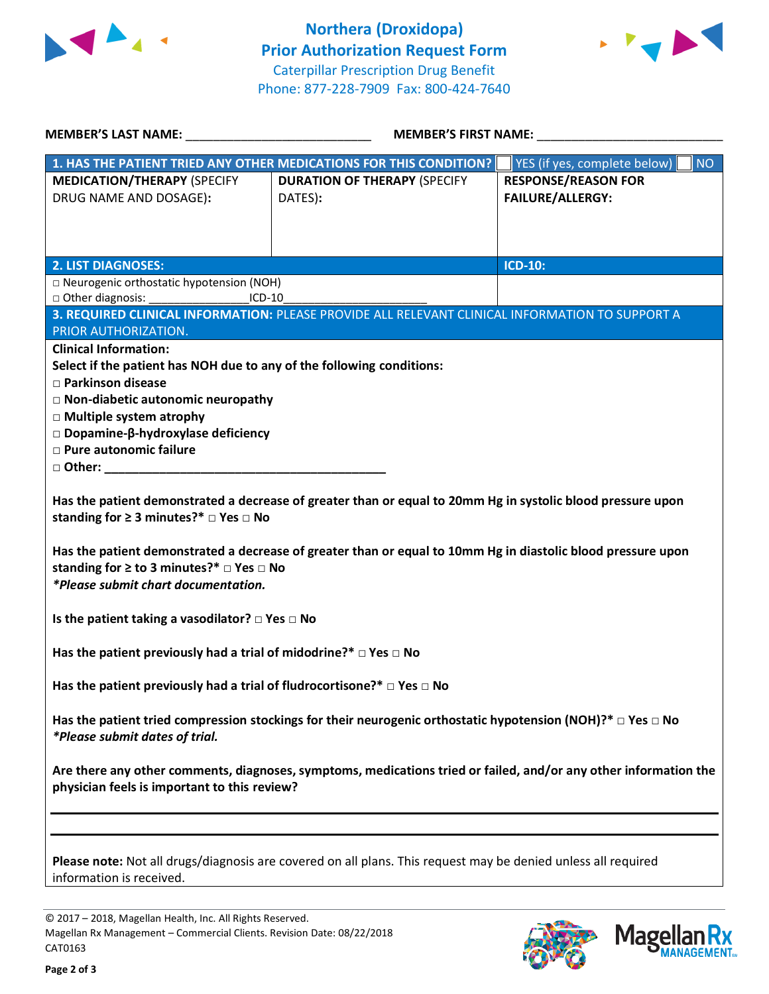



| MEMBER'S LAST NAME: NAME:                                                                                                                                                                                                                                                       | <b>MEMBER'S FIRST NAME:</b>                                                                                   |                                                       |  |  |  |
|---------------------------------------------------------------------------------------------------------------------------------------------------------------------------------------------------------------------------------------------------------------------------------|---------------------------------------------------------------------------------------------------------------|-------------------------------------------------------|--|--|--|
|                                                                                                                                                                                                                                                                                 | 1. HAS THE PATIENT TRIED ANY OTHER MEDICATIONS FOR THIS CONDITION?                                            | YES (if yes, complete below)<br><b>NO</b>             |  |  |  |
| <b>MEDICATION/THERAPY (SPECIFY</b><br>DRUG NAME AND DOSAGE):                                                                                                                                                                                                                    | <b>DURATION OF THERAPY (SPECIFY</b><br>DATES):                                                                | <b>RESPONSE/REASON FOR</b><br><b>FAILURE/ALLERGY:</b> |  |  |  |
| <b>2. LIST DIAGNOSES:</b>                                                                                                                                                                                                                                                       |                                                                                                               | <b>ICD-10:</b>                                        |  |  |  |
| □ Neurogenic orthostatic hypotension (NOH)<br>□ Other diagnosis:<br>$ICD-10$                                                                                                                                                                                                    |                                                                                                               |                                                       |  |  |  |
| PRIOR AUTHORIZATION.                                                                                                                                                                                                                                                            | 3. REQUIRED CLINICAL INFORMATION: PLEASE PROVIDE ALL RELEVANT CLINICAL INFORMATION TO SUPPORT A               |                                                       |  |  |  |
| <b>Clinical Information:</b><br>Select if the patient has NOH due to any of the following conditions:<br>□ Parkinson disease<br>$\Box$ Non-diabetic autonomic neuropathy<br>□ Multiple system atrophy<br>□ Dopamine-β-hydroxylase deficiency<br><b>D</b> Pure autonomic failure |                                                                                                               |                                                       |  |  |  |
| Has the patient demonstrated a decrease of greater than or equal to 20mm Hg in systolic blood pressure upon<br>standing for $\geq 3$ minutes?* $\Box$ Yes $\Box$ No                                                                                                             |                                                                                                               |                                                       |  |  |  |
| Has the patient demonstrated a decrease of greater than or equal to 10mm Hg in diastolic blood pressure upon<br>standing for $\geq$ to 3 minutes?* $\Box$ Yes $\Box$ No<br>*Please submit chart documentation.                                                                  |                                                                                                               |                                                       |  |  |  |
| Is the patient taking a vasodilator? $\square$ Yes $\square$ No                                                                                                                                                                                                                 |                                                                                                               |                                                       |  |  |  |
| Has the patient previously had a trial of midodrine?* $\Box$ Yes $\Box$ No                                                                                                                                                                                                      |                                                                                                               |                                                       |  |  |  |
| Has the patient previously had a trial of fludrocortisone?* $\Box$ Yes $\Box$ No                                                                                                                                                                                                |                                                                                                               |                                                       |  |  |  |
| Has the patient tried compression stockings for their neurogenic orthostatic hypotension (NOH)?* $\Box$ Yes $\Box$ No<br><i>*Please submit dates of trial.</i>                                                                                                                  |                                                                                                               |                                                       |  |  |  |
| Are there any other comments, diagnoses, symptoms, medications tried or failed, and/or any other information the<br>physician feels is important to this review?                                                                                                                |                                                                                                               |                                                       |  |  |  |
| information is received.                                                                                                                                                                                                                                                        | Please note: Not all drugs/diagnosis are covered on all plans. This request may be denied unless all required |                                                       |  |  |  |

© 2017 – 2018, Magellan Health, Inc. All Rights Reserved. Magellan Rx Management – Commercial Clients. Revision Date: 08/22/2018 CAT0163